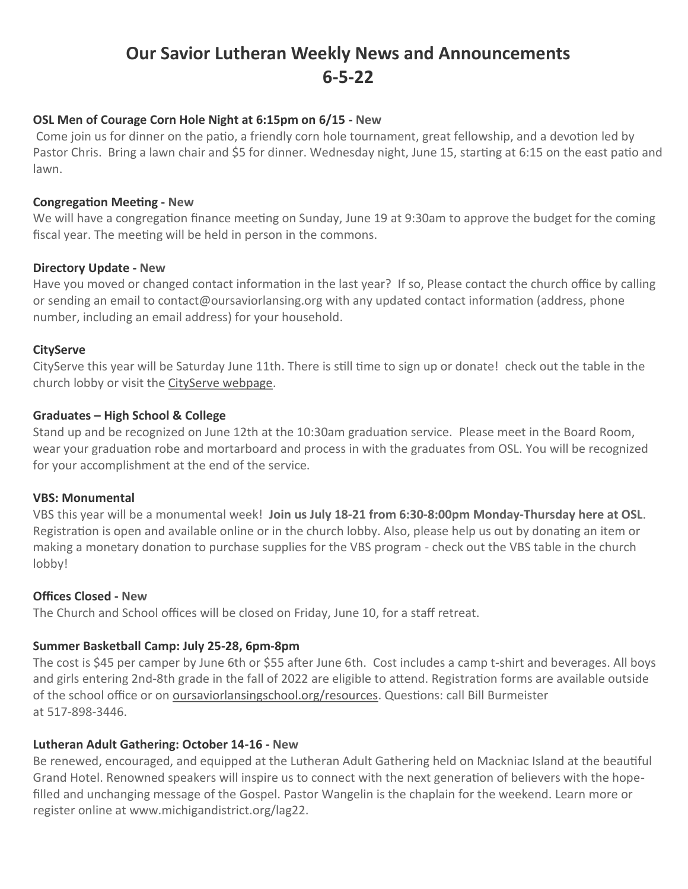# **Our Savior Lutheran Weekly News and Announcements 6-5-22**

## **OSL Men of Courage Corn Hole Night at 6:15pm on 6/15 - New**

Come join us for dinner on the patio, a friendly corn hole tournament, great fellowship, and a devotion led by Pastor Chris. Bring a lawn chair and \$5 for dinner. Wednesday night, June 15, starting at 6:15 on the east patio and lawn.

#### **Congregation Meeting - New**

We will have a congregation finance meeting on Sunday, June 19 at 9:30am to approve the budget for the coming fiscal year. The meeting will be held in person in the commons.

#### **Directory Update - New**

Have you moved or changed contact information in the last year? If so, Please contact the church office by calling or sending an email to contact@oursaviorlansing.org with any updated contact information (address, phone number, including an email address) for your household.

#### **CityServe**

CityServe this year will be Saturday June 11th. There is still time to sign up or donate! check out the table in the church lobby or visit the [CityServe webpage.](https://www.oursaviorlansing.org/cityserve/)

#### **Graduates – High School & College**

Stand up and be recognized on June 12th at the 10:30am graduation service. Please meet in the Board Room, wear your graduation robe and mortarboard and process in with the graduates from OSL. You will be recognized for your accomplishment at the end of the service.

#### **VBS: Monumental**

VBS this year will be a monumental week! **Join us July 18-21 from 6:30-8:00pm Monday-Thursday here at OSL**. Registration is open and available online or in the church lobby. Also, please help us out by donating an item or making a monetary donation to purchase supplies for the VBS program - check out the VBS table in the church lobby!

## **Offices Closed - New**

The Church and School offices will be closed on Friday, June 10, for a staff retreat.

## **Summer Basketball Camp: July 25-28, 6pm-8pm**

The cost is \$45 per camper by June 6th or \$55 after June 6th. Cost includes a camp t-shirt and beverages. All boys and girls entering 2nd-8th grade in the fall of 2022 are eligible to attend. Registration forms are available outside of the school office or on [oursaviorlansingschool.org/resources.](http://www.oursaviorlansingschool.org/resources) Questions: call Bill Burmeister at 517-898-3446.

#### **Lutheran Adult Gathering: October 14-16 - New**

Be renewed, encouraged, and equipped at the Lutheran Adult Gathering held on Mackniac Island at the beautiful Grand Hotel. Renowned speakers will inspire us to connect with the next generation of believers with the hopefilled and unchanging message of the Gospel. Pastor Wangelin is the chaplain for the weekend. Learn more or register online at www.michigandistrict.org/lag22.